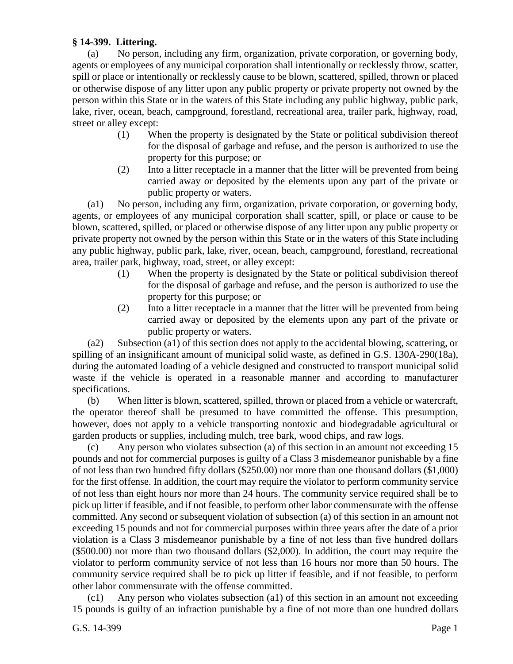## **§ 14-399. Littering.**

(a) No person, including any firm, organization, private corporation, or governing body, agents or employees of any municipal corporation shall intentionally or recklessly throw, scatter, spill or place or intentionally or recklessly cause to be blown, scattered, spilled, thrown or placed or otherwise dispose of any litter upon any public property or private property not owned by the person within this State or in the waters of this State including any public highway, public park, lake, river, ocean, beach, campground, forestland, recreational area, trailer park, highway, road, street or alley except:

- (1) When the property is designated by the State or political subdivision thereof for the disposal of garbage and refuse, and the person is authorized to use the property for this purpose; or
- (2) Into a litter receptacle in a manner that the litter will be prevented from being carried away or deposited by the elements upon any part of the private or public property or waters.

(a1) No person, including any firm, organization, private corporation, or governing body, agents, or employees of any municipal corporation shall scatter, spill, or place or cause to be blown, scattered, spilled, or placed or otherwise dispose of any litter upon any public property or private property not owned by the person within this State or in the waters of this State including any public highway, public park, lake, river, ocean, beach, campground, forestland, recreational area, trailer park, highway, road, street, or alley except:

- (1) When the property is designated by the State or political subdivision thereof for the disposal of garbage and refuse, and the person is authorized to use the property for this purpose; or
- (2) Into a litter receptacle in a manner that the litter will be prevented from being carried away or deposited by the elements upon any part of the private or public property or waters.

(a2) Subsection (a1) of this section does not apply to the accidental blowing, scattering, or spilling of an insignificant amount of municipal solid waste, as defined in G.S. 130A-290(18a), during the automated loading of a vehicle designed and constructed to transport municipal solid waste if the vehicle is operated in a reasonable manner and according to manufacturer specifications.

(b) When litter is blown, scattered, spilled, thrown or placed from a vehicle or watercraft, the operator thereof shall be presumed to have committed the offense. This presumption, however, does not apply to a vehicle transporting nontoxic and biodegradable agricultural or garden products or supplies, including mulch, tree bark, wood chips, and raw logs.

(c) Any person who violates subsection (a) of this section in an amount not exceeding 15 pounds and not for commercial purposes is guilty of a Class 3 misdemeanor punishable by a fine of not less than two hundred fifty dollars (\$250.00) nor more than one thousand dollars (\$1,000) for the first offense. In addition, the court may require the violator to perform community service of not less than eight hours nor more than 24 hours. The community service required shall be to pick up litter if feasible, and if not feasible, to perform other labor commensurate with the offense committed. Any second or subsequent violation of subsection (a) of this section in an amount not exceeding 15 pounds and not for commercial purposes within three years after the date of a prior violation is a Class 3 misdemeanor punishable by a fine of not less than five hundred dollars (\$500.00) nor more than two thousand dollars (\$2,000). In addition, the court may require the violator to perform community service of not less than 16 hours nor more than 50 hours. The community service required shall be to pick up litter if feasible, and if not feasible, to perform other labor commensurate with the offense committed.

(c1) Any person who violates subsection (a1) of this section in an amount not exceeding 15 pounds is guilty of an infraction punishable by a fine of not more than one hundred dollars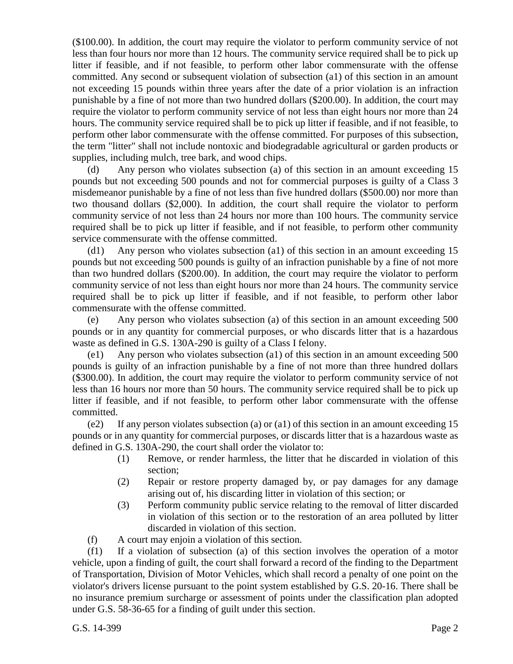(\$100.00). In addition, the court may require the violator to perform community service of not less than four hours nor more than 12 hours. The community service required shall be to pick up litter if feasible, and if not feasible, to perform other labor commensurate with the offense committed. Any second or subsequent violation of subsection (a1) of this section in an amount not exceeding 15 pounds within three years after the date of a prior violation is an infraction punishable by a fine of not more than two hundred dollars (\$200.00). In addition, the court may require the violator to perform community service of not less than eight hours nor more than 24 hours. The community service required shall be to pick up litter if feasible, and if not feasible, to perform other labor commensurate with the offense committed. For purposes of this subsection, the term "litter" shall not include nontoxic and biodegradable agricultural or garden products or supplies, including mulch, tree bark, and wood chips.

(d) Any person who violates subsection (a) of this section in an amount exceeding 15 pounds but not exceeding 500 pounds and not for commercial purposes is guilty of a Class 3 misdemeanor punishable by a fine of not less than five hundred dollars (\$500.00) nor more than two thousand dollars (\$2,000). In addition, the court shall require the violator to perform community service of not less than 24 hours nor more than 100 hours. The community service required shall be to pick up litter if feasible, and if not feasible, to perform other community service commensurate with the offense committed.

(d1) Any person who violates subsection (a1) of this section in an amount exceeding 15 pounds but not exceeding 500 pounds is guilty of an infraction punishable by a fine of not more than two hundred dollars (\$200.00). In addition, the court may require the violator to perform community service of not less than eight hours nor more than 24 hours. The community service required shall be to pick up litter if feasible, and if not feasible, to perform other labor commensurate with the offense committed.

(e) Any person who violates subsection (a) of this section in an amount exceeding 500 pounds or in any quantity for commercial purposes, or who discards litter that is a hazardous waste as defined in G.S. 130A-290 is guilty of a Class I felony.

(e1) Any person who violates subsection (a1) of this section in an amount exceeding 500 pounds is guilty of an infraction punishable by a fine of not more than three hundred dollars (\$300.00). In addition, the court may require the violator to perform community service of not less than 16 hours nor more than 50 hours. The community service required shall be to pick up litter if feasible, and if not feasible, to perform other labor commensurate with the offense committed.

(e2) If any person violates subsection (a) or (a1) of this section in an amount exceeding  $15$ pounds or in any quantity for commercial purposes, or discards litter that is a hazardous waste as defined in G.S. 130A-290, the court shall order the violator to:

- (1) Remove, or render harmless, the litter that he discarded in violation of this section;
- (2) Repair or restore property damaged by, or pay damages for any damage arising out of, his discarding litter in violation of this section; or
- (3) Perform community public service relating to the removal of litter discarded in violation of this section or to the restoration of an area polluted by litter discarded in violation of this section.
- (f) A court may enjoin a violation of this section.

(f1) If a violation of subsection (a) of this section involves the operation of a motor vehicle, upon a finding of guilt, the court shall forward a record of the finding to the Department of Transportation, Division of Motor Vehicles, which shall record a penalty of one point on the violator's drivers license pursuant to the point system established by G.S. 20-16. There shall be no insurance premium surcharge or assessment of points under the classification plan adopted under G.S. 58-36-65 for a finding of guilt under this section.